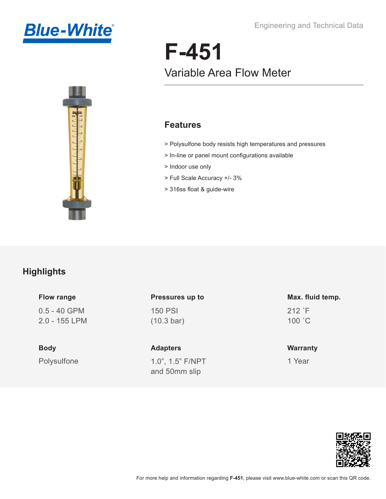



# **F-451** Variable Area Flow Meter

#### **Features**

- > Polysulfone body resists high temperatures and pressures
- > In-line or panel mount configurations available
- > Indoor use only
- > Full Scale Accuracy +/- 3%
- > 316ss float & guide-wire

#### **Highlights**

**Flow range**

0.5 - 40 GPM 2.0 - 155 LPM

Polysulfone **Body**

150 PSI (10.3 bar) **Pressures up to**

1.0", 1.5" F/NPT and 50mm slip **Adapters**

212 ˚F 100 ˚C **Max. fluid temp.**

**Warranty**

1 Year

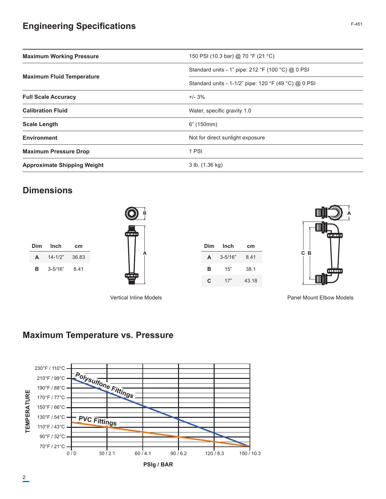### **Engineering Specifications**

| <b>Maximum Working Pressure</b>    | 150 PSI (10.3 bar) @ 70 °F (21 °C)                   |  |  |
|------------------------------------|------------------------------------------------------|--|--|
|                                    | Standard units - 1" pipe: 212 °F (100 °C) @ 0 PSI    |  |  |
| <b>Maximum Fluid Temperature</b>   | Standard units - 1-1/2" pipe: 120 °F (49 °C) @ 0 PSI |  |  |
| <b>Full Scale Accuracy</b>         | $+/- 3%$                                             |  |  |
| <b>Calibration Fluid</b>           | Water, specific gravity 1.0                          |  |  |
| <b>Scale Length</b>                | 6" (150mm)                                           |  |  |
| <b>Environment</b>                 | Not for direct sunlight exposure                     |  |  |
| <b>Maximum Pressure Drop</b>       | 1 PSI                                                |  |  |
| <b>Approximate Shipping Weight</b> | 3 lb. (1.36 kg)                                      |  |  |

#### **Dimensions**

|   | Dim Inch    | cm    |
|---|-------------|-------|
| A | $14 - 1/2"$ | 36.83 |
| в | $3 - 5/16"$ | 8.41  |



| Dim | Inch        | cm    |  |
|-----|-------------|-------|--|
| A   | $3 - 5/16"$ | 841   |  |
| в   | 15"         | 38.1  |  |
| C   | 17"         | 43.18 |  |



Vertical Inline Models Panel Mount Elbow Models

#### **Maximum Temperature vs. Pressure**



**PSIg / BAR**

F-451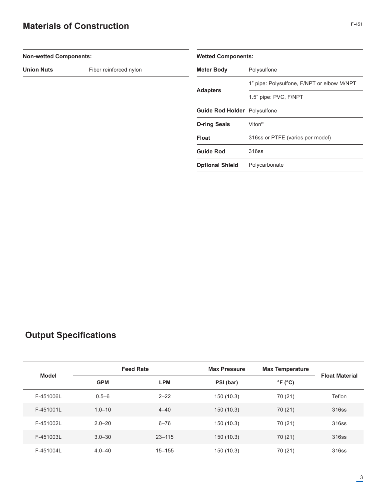### **Materials of Construction**

| <b>Non-wetted Components:</b> |                        | <b>Wetted Components:</b>           |                                            |  |
|-------------------------------|------------------------|-------------------------------------|--------------------------------------------|--|
| <b>Union Nuts</b>             | Fiber reinforced nylon | <b>Meter Body</b>                   | Polysulfone                                |  |
|                               |                        |                                     | 1" pipe: Polysulfone, F/NPT or elbow M/NPT |  |
|                               |                        | <b>Adapters</b>                     | 1.5" pipe: PVC, F/NPT                      |  |
|                               |                        | <b>Guide Rod Holder</b> Polysulfone |                                            |  |
|                               |                        | <b>O-ring Seals</b>                 | Viton <sup>®</sup>                         |  |
|                               |                        | <b>Float</b>                        | 316ss or PTFE (varies per model)           |  |
|                               |                        | <b>Guide Rod</b>                    | 316ss                                      |  |
|                               |                        | <b>Optional Shield</b>              | Polycarbonate                              |  |
|                               |                        |                                     |                                            |  |

## **Output Specifications**

| Model     | <b>Feed Rate</b> |            | <b>Max Pressure</b> | <b>Max Temperature</b>     |                       |
|-----------|------------------|------------|---------------------|----------------------------|-----------------------|
|           | <b>GPM</b>       | <b>LPM</b> | PSI (bar)           | $\degree$ F ( $\degree$ C) | <b>Float Material</b> |
| F-451006L | $0.5 - 6$        | $2 - 22$   | 150 (10.3)          | 70 (21)                    | Teflon                |
| F-451001L | $1.0 - 10$       | $4 - 40$   | 150(10.3)           | 70 (21)                    | 316ss                 |
| F-451002L | $2.0 - 20$       | $6 - 76$   | 150 (10.3)          | 70 (21)                    | 316ss                 |
| F-451003L | $3.0 - 30$       | $23 - 115$ | 150(10.3)           | 70 (21)                    | 316ss                 |
| F-451004L | $4.0 - 40$       | $15 - 155$ | 150 (10.3)          | 70 (21)                    | 316ss                 |